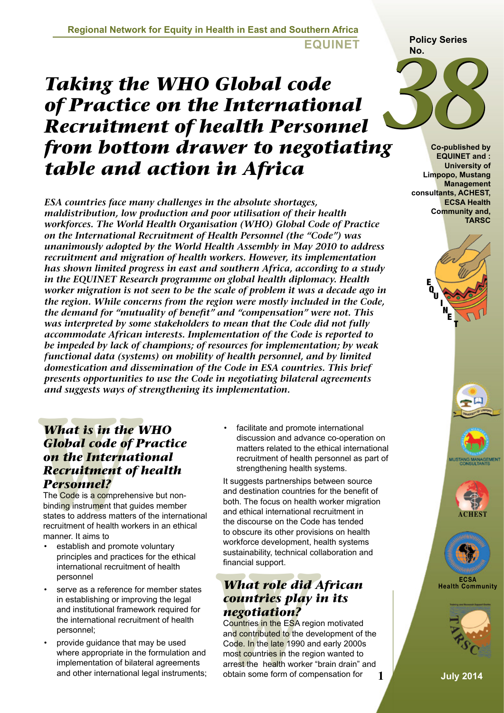#### **Regional Network for Equity in Health in East and Southern Africa EQUINET**

# *Taking the WHO Global code of Practice on the International Recruitment of health Personnel from bottom drawer to negotiating table and action in Africa*

*ESA countries face many challenges in the absolute shortages, maldistribution, low production and poor utilisation of their health workforces. The World Health Organisation (WHO) Global Code of Practice on the International Recruitment of Health Personnel (the "Code") was unanimously adopted by the World Health Assembly in May 2010 to address recruitment and migration of health workers. However, its implementation has shown limited progress in east and southern Africa, according to a study in the EQUINET Research programme on global health diplomacy. Health worker migration is not seen to be the scale of problem it was a decade ago in the region. While concerns from the region were mostly included in the Code, the demand for "mutuality of benefit" and "compensation" were not. This was interpreted by some stakeholders to mean that the Code did not fully accommodate African interests. Implementation of the Code is reported to be impeded by lack of champions; of resources for implementation; by weak functional data (systems) on mobility of health personnel, and by limited domestication and dissemination of the Code in ESA countries. This brief presents opportunities to use the Code in negotiating bilateral agreements and suggests ways of strengthening its implementation.*

# **What is in the Global code of on the Internal Recruitment of Personnel?<br>The Code is a comprehend of personnel?**<br>The Code is a comprehend binding instrument that gotates to address matters recruitment of health work manner *What is in the WHO Global code of Practice on the International Recruitment of health Personnel?*

The Code is a comprehensive but nonbinding instrument that guides member states to address matters of the international recruitment of health workers in an ethical manner. It aims to

- establish and promote voluntary principles and practices for the ethical international recruitment of health personnel
- serve as a reference for member states in establishing or improving the legal and institutional framework required for the international recruitment of health personnel;
- provide guidance that may be used where appropriate in the formulation and implementation of bilateral agreements and other international legal instruments;

• facilitate and promote international discussion and advance co-operation on matters related to the ethical international recruitment of health personnel as part of strengthening health systems.

It suggests partnerships between source and destination countries for the benefit of both. The focus on health worker migration and ethical international recruitment in the discourse on the Code has tended to obscure its other provisions on health workforce development, health systems sustainability, technical collaboration and financial support.

# *What role did African countries play in its negotiation?*

sustainability, technical c<br>financial support.<br>**What role did**<br>**Countries play**<br>**negotiation?**<br>Countries in the ESA reg<br>and contributed to the de<br>Code. In the late 1990 a<br>most countries in the reg<br>arrest the health worker<br> Countries in the ESA region motivated and contributed to the development of the Code. In the late 1990 and early 2000s most countries in the region wanted to arrest the health worker "brain drain" and obtain some form of compensation for





**Co-published by EQUINET and : University of Limpopo, Mustang Management consultants, ACHEST, ECSA Health Community and, TARSC** 













**1 July 2014**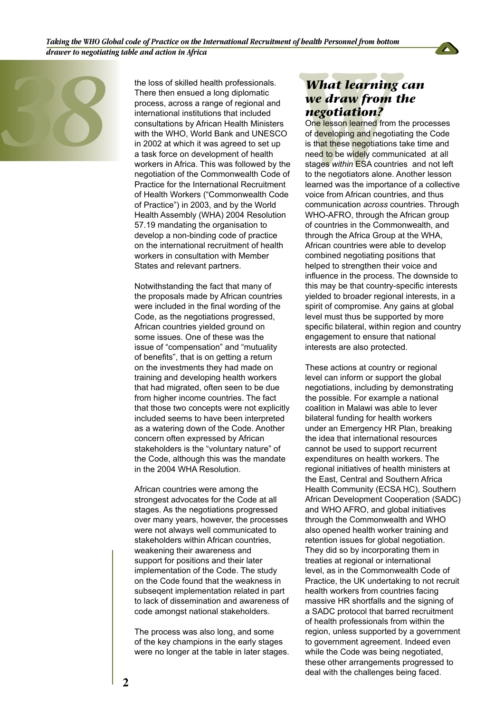

the loss of skilled health professionals.<br>
There then ensued a long diplomatic<br>
process, across a range of regional and<br>
international institutions that included<br>
consultations by African Health Minister<br>
with the WHO, Wor There then ensued a long diplomatic process, across a range of regional and international institutions that included consultations by African Health Ministers with the WHO, World Bank and UNESCO in 2002 at which it was agreed to set up a task force on development of health workers in Africa. This was followed by the negotiation of the Commonwealth Code of Practice for the International Recruitment of Health Workers ("Commonwealth Code of Practice") in 2003, and by the World Health Assembly (WHA) 2004 Resolution 57.19 mandating the organisation to develop a non-binding code of practice on the international recruitment of health workers in consultation with Member States and relevant partners.

> Notwithstanding the fact that many of the proposals made by African countries were included in the final wording of the Code, as the negotiations progressed, African countries yielded ground on some issues. One of these was the issue of "compensation" and "mutuality of benefits", that is on getting a return on the investments they had made on training and developing health workers that had migrated, often seen to be due from higher income countries. The fact that those two concepts were not explicitly included seems to have been interpreted as a watering down of the Code. Another concern often expressed by African stakeholders is the "voluntary nature" of the Code, although this was the mandate in the 2004 WHA Resolution.

> African countries were among the strongest advocates for the Code at all stages. As the negotiations progressed over many years, however, the processes were not always well communicated to stakeholders within African countries, weakening their awareness and support for positions and their later implementation of the Code. The study on the Code found that the weakness in subseqent implementation related in part to lack of dissemination and awareness of code amongst national stakeholders.

> The process was also long, and some of the key champions in the early stages were no longer at the table in later stages.

## *What learning can we draw from the negotiation?*

**What learning**<br> **we draw from**<br> **negotiation?**<br>
One lesson learned from<br>
of developing and negoti<br>
is that these negotiations<br>
need to be widely commi<br>
stages within ESA countributions<br>
to the negotiators alone.<br>
learned One lesson learned from the processes of developing and negotiating the Code is that these negotiations take time and need to be widely communicated at all stages *within* ESA countries and not left to the negotiators alone. Another lesson learned was the importance of a collective voice from African countries, and thus communication *across* countries. Through WHO-AFRO, through the African group of countries in the Commonwealth, and through the Africa Group at the WHA, African countries were able to develop combined negotiating positions that helped to strengthen their voice and influence in the process. The downside to this may be that country-specific interests yielded to broader regional interests, in a spirit of compromise. Any gains at global level must thus be supported by more specific bilateral, within region and country engagement to ensure that national interests are also protected.

These actions at country or regional level can inform or support the global negotiations, including by demonstrating the possible. For example a national coalition in Malawi was able to lever bilateral funding for health workers under an Emergency HR Plan, breaking the idea that international resources cannot be used to support recurrent expenditures on health workers. The regional initiatives of health ministers at the East, Central and Southern Africa Health Community (ECSA HC), Southern African Development Cooperation (SADC) and WHO AFRO, and global initiatives through the Commonwealth and WHO also opened health worker training and retention issues for global negotiation. They did so by incorporating them in treaties at regional or international level, as in the Commonwealth Code of Practice, the UK undertaking to not recruit health workers from countries facing massive HR shortfalls and the signing of a SADC protocol that barred recruitment of health professionals from within the region, unless supported by a government to government agreement. Indeed even while the Code was being negotiated, these other arrangements progressed to deal with the challenges being faced.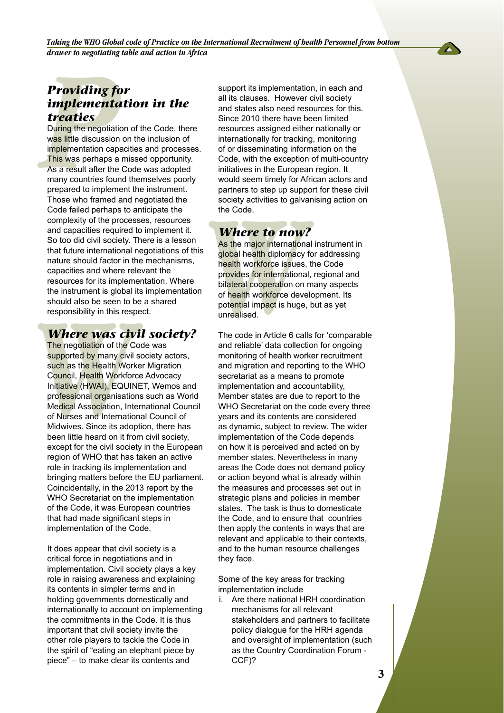

*Taking the WHO Global code of Practice on the International Recruitment of health Personnel from bottom drawer to negotiating table and action in Africa* 

## *Providing for implementation in the treaties*

**Providing formulation**<br>**Providing formulation**<br>**During the negotiations Interactives**<br>**During the negotiations**<br>**This was perhaps a**<br>As a result after the<br>many countries four<br>prepared to implement During the negotiation of the Code, there was little discussion on the inclusion of implementation capacities and processes. This was perhaps a missed opportunity. As a result after the Code was adopted many countries found themselves poorly prepared to implement the instrument. Those who framed and negotiated the Code failed perhaps to anticipate the complexity of the processes, resources and capacities required to implement it. So too did civil society. There is a lesson that future international negotiations of this nature should factor in the mechanisms, capacities and where relevant the resources for its implementation. Where the instrument is global its implementation should also be seen to be a shared responsibility in this respect.

#### *Where was civil society?*

should also be seen to the responsibility in this responsibility in this responsibility in this responsibility in this responsibility and supported by many civil such as the Health Workfor Initiative (HWAI), EQUIN professi The negotiation of the Code was supported by many civil society actors, such as the Health Worker Migration Council, Health Workforce Advocacy Initiative (HWAI), EQUINET, Wemos and professional organisations such as World Medical Association, International Council of Nurses and International Council of Midwives. Since its adoption, there has been little heard on it from civil society, except for the civil society in the European region of WHO that has taken an active role in tracking its implementation and bringing matters before the EU parliament. Coincidentally, in the 2013 report by the WHO Secretariat on the implementation of the Code, it was European countries that had made significant steps in implementation of the Code.

It does appear that civil society is a critical force in negotiations and in implementation. Civil society plays a key role in raising awareness and explaining its contents in simpler terms and in holding governments domestically and internationally to account on implementing the commitments in the Code. It is thus important that civil society invite the other role players to tackle the Code in the spirit of "eating an elephant piece by piece" – to make clear its contents and

support its implementation, in each and all its clauses. However civil society and states also need resources for this. Since 2010 there have been limited resources assigned either nationally or internationally for tracking, monitoring of or disseminating information on the Code, with the exception of multi-country initiatives in the European region. It would seem timely for African actors and partners to step up support for these civil society activities to galvanising action on the Code.

### *Where to now?*

society activities to galve<br>the Code.<br>**Where to now**<br>**As the major internation**<br>global health diplomacy<br>health workforce issues<br>provides for international<br>bilateral cooperation on<br>of health workforce deve<br>potential impact As the major international instrument in global health diplomacy for addressing health workforce issues, the Code provides for international, regional and bilateral cooperation on many aspects of health workforce development. Its potential impact is huge, but as yet unrealised.

The code in Article 6 calls for 'comparable and reliable' data collection for ongoing monitoring of health worker recruitment and migration and reporting to the WHO secretariat as a means to promote implementation and accountability, Member states are due to report to the WHO Secretariat on the code every three years and its contents are considered as dynamic, subject to review. The wider implementation of the Code depends on how it is perceived and acted on by member states. Nevertheless in many areas the Code does not demand policy or action beyond what is already within the measures and processes set out in strategic plans and policies in member states. The task is thus to domesticate the Code, and to ensure that countries then apply the contents in ways that are relevant and applicable to their contexts, and to the human resource challenges they face.

Some of the key areas for tracking implementation include

i. Are there national HRH coordination mechanisms for all relevant stakeholders and partners to facilitate policy dialogue for the HRH agenda and oversight of implementation (such as the Country Coordination Forum - CCF)?